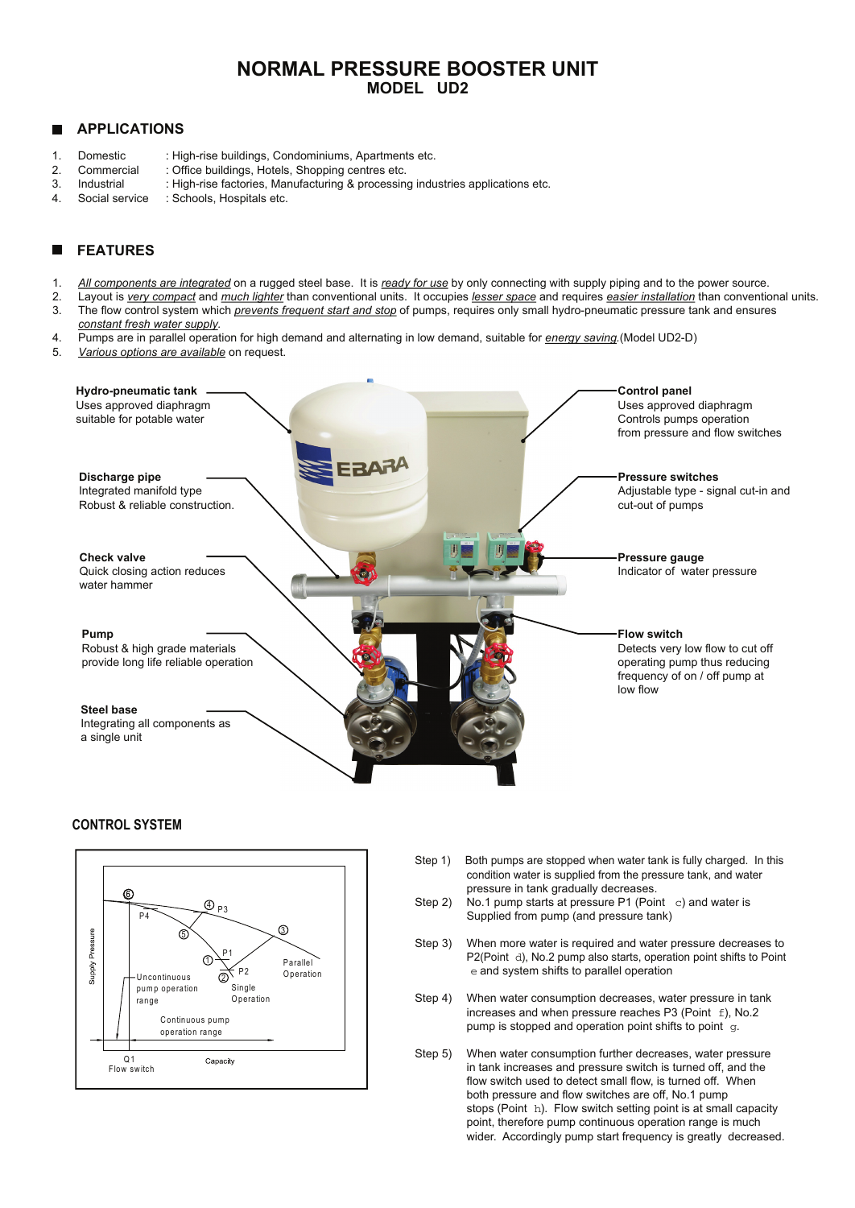# **NORMAL PRESSURE BOOSTER UNIT MODEL UD2**

## **APPLICATIONS**

- 1. Domestic : High-rise buildings, Condominiums, Apartments etc.
- 2. Commercial : Office buildings, Hotels, Shopping centres etc.
- 3. Industrial : High-rise factories, Manufacturing & processing industries applications etc.<br>4. Social service : Schools. Hospitals etc.
- 4. Social service : Schools, Hospitals etc.

# **FEATURES**

- 1. *All components are integrated* on a rugged steel base. It is *ready for use* by only connecting with supply piping and to the power source.
- 2. Layout is *very compact* and *much lighter* than conventional units. It occupies *lesser space* and requires *easier installation* than conventional units. 3. The flow control system which *prevents frequent start and stop* of pumps, requires only small hydro-pneumatic pressure tank and ensures
- *constant fresh water supply.*
- 4. Pumps are in parallel operation for high demand and alternating in low demand, suitable for *energy saving.*(Model UD2-D)
- 5. *Various options are available* on request.



### **CONTROL SYSTEM**



- Step 1) Both pumps are stopped when water tank is fully charged. In this condition water is supplied from the pressure tank, and water
- pressure in tank gradually decreases.<br>Step 2) No.1 pump starts at pressure P1 (Point No.1 pump starts at pressure P1 (Point c) and water is Supplied from pump (and pressure tank)
- Step 3) When more water is required and water pressure decreases to P2(Point d), No.2 pump also starts, operation point shifts to Point e and system shifts to parallel operation
- Step 4) When water consumption decreases, water pressure in tank increases and when pressure reaches P3 (Point  $f$ ), No.2 pump is stopped and operation point shifts to point g.
- Step 5) When water consumption further decreases, water pressure in tank increases and pressure switch is turned off, and the flow switch used to detect small flow, is turned off. When both pressure and flow switches are off, No.1 pump stops (Point h). Flow switch setting point is at small capacity point, therefore pump continuous operation range is much wider. Accordingly pump start frequency is greatly decreased.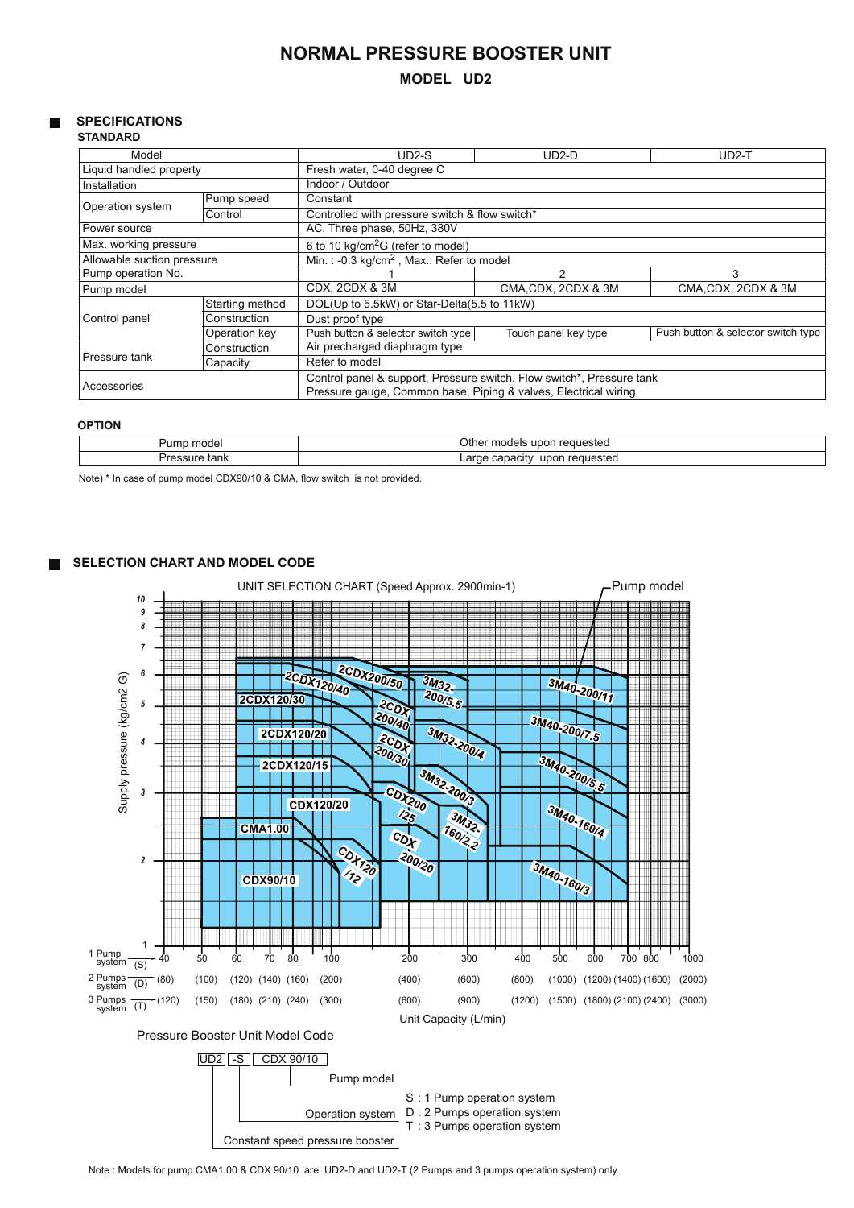# **NORMAL PRESSURE BOOSTER UNIT**

# **MODEL UD2**

# **SPECIFICATIONS**

# **STANDARD**

| Model                      |                 | UD2-S                                                                                                                                    | UD2-D                | $UD2-T$                            |  |  |  |  |
|----------------------------|-----------------|------------------------------------------------------------------------------------------------------------------------------------------|----------------------|------------------------------------|--|--|--|--|
| Liquid handled property    |                 | Fresh water, 0-40 degree C                                                                                                               |                      |                                    |  |  |  |  |
| Installation               |                 | Indoor / Outdoor                                                                                                                         |                      |                                    |  |  |  |  |
| Operation system           | Pump speed      | Constant                                                                                                                                 |                      |                                    |  |  |  |  |
|                            | Control         | Controlled with pressure switch & flow switch*                                                                                           |                      |                                    |  |  |  |  |
| Power source               |                 | AC, Three phase, 50Hz, 380V                                                                                                              |                      |                                    |  |  |  |  |
| Max. working pressure      |                 | 6 to 10 kg/cm <sup>2</sup> G (refer to model)                                                                                            |                      |                                    |  |  |  |  |
| Allowable suction pressure |                 | Min.: -0.3 kg/cm <sup>2</sup> , Max.: Refer to model                                                                                     |                      |                                    |  |  |  |  |
| Pump operation No.         |                 |                                                                                                                                          | 2                    | 3                                  |  |  |  |  |
| Pump model                 |                 | CDX, 2CDX & 3M                                                                                                                           | CMA, CDX, 2CDX & 3M  | CMA, CDX, 2CDX & 3M                |  |  |  |  |
| Control panel              | Starting method | DOL(Up to 5.5kW) or Star-Delta(5.5 to 11kW)                                                                                              |                      |                                    |  |  |  |  |
|                            | Construction    | Dust proof type                                                                                                                          |                      |                                    |  |  |  |  |
|                            | Operation key   | Push button & selector switch type                                                                                                       | Touch panel key type | Push button & selector switch type |  |  |  |  |
| Pressure tank              | Construction    | Air precharged diaphragm type                                                                                                            |                      |                                    |  |  |  |  |
|                            | Capacity        | Refer to model                                                                                                                           |                      |                                    |  |  |  |  |
| Accessories                |                 | Control panel & support, Pressure switch, Flow switch*, Pressure tank<br>Pressure gauge, Common base, Piping & valves, Electrical wiring |                      |                                    |  |  |  |  |

#### **OPTION**

| ımp<br>$\sim$<br>uı | Othe<br>$\sim$<br>dels<br>™este⊾<br>71 I F<br>.<br>.           |
|---------------------|----------------------------------------------------------------|
| ldiin               | requestec<br>' In∩r.<br>$\alpha r$<br>≅a∩it\,<br>--<br>__<br>. |

Note) \* In case of pump model CDX90/10 & CMA, flow switch is not provided.

#### **SELECTION CHART AND MODEL CODE**  $\blacksquare$



Note : Models for pump CMA1.00 & CDX 90/10 are UD2-D and UD2-T (2 Pumps and 3 pumps operation system) only.